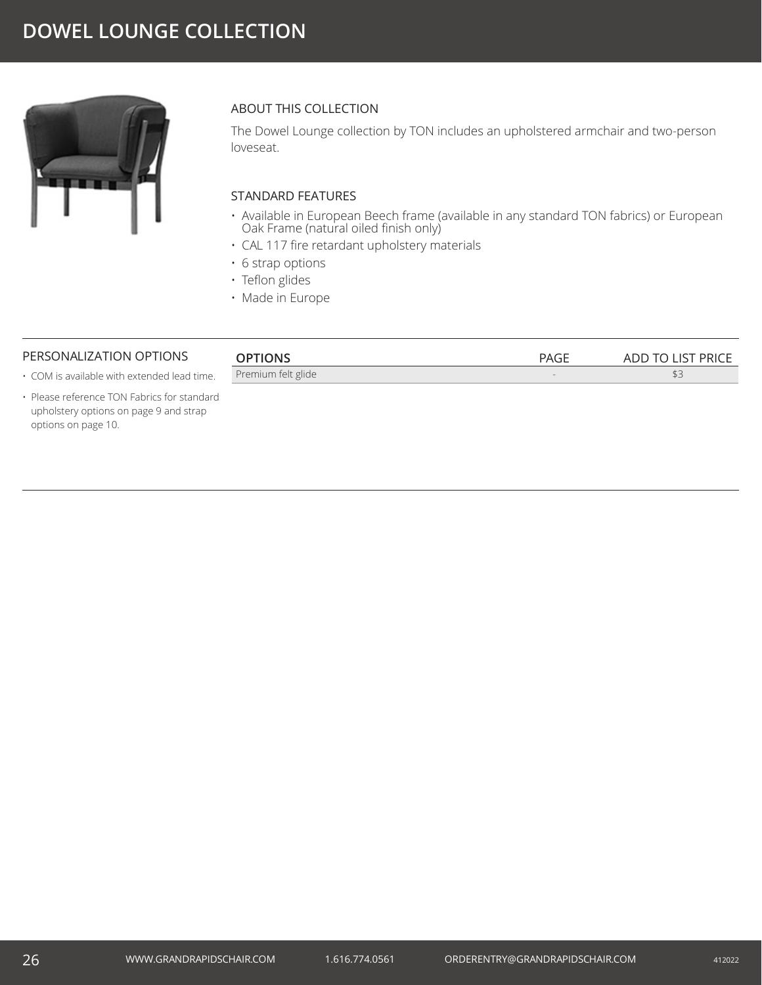

## ABOUT THIS COLLECTION

The Dowel Lounge collection by TON includes an upholstered armchair and two-person loveseat.

## STANDARD FEATURES

- Available in European Beech frame (available in any standard TON fabrics) or European Oak Frame (natural oiled finish only)
- CAL 117 fire retardant upholstery materials
- 6 strap options
- Teflon glides
- Made in Europe

### PERSONALIZATION OPTIONS

| OPTIONS            | $\sim$ $\sim$ $\sim$ | ADD<br>--<br>$\overline{\phantom{0}}$ |
|--------------------|----------------------|---------------------------------------|
| Premium felt glide | $\sim$               | ーマニ                                   |

- COM is available with extended lead time.
- Please reference TON Fabrics for standard upholstery options on page 9 and strap options on page 10.